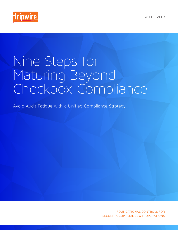

# Nine Steps for Maturing Beyond Checkbox Compliance

Avoid Audit Fatigue with a Unified Compliance Strategy

FOUNDATIONAL CONTROLS FOR SECURITY, COMPLIANCE & IT OPERATIONS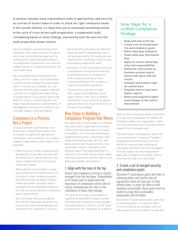A common mistake many organizations make is approaching cybersecurity as a series of actions taken in order to check the right compliance boxes. If this sounds familiar, it's likely that you've witnessed something similar to the cycle of crisis-driven audit preparation, a suspenseful audit, remediating based on those findings, and waiting until the next hurried audit preparation phase returns.

Security leaders are positioning themselves for a win when they aim to figure out a new, more effective approach to meeting their goals that goes beyond this disjointed compliance cycle and ultimately results in mitigating security risk more effectively.

By successfully executing these nine steps, you'll no longer continually have to react to and manage the audit preparation crisis du jour. Instead, you can institute and rely upon regular, defined activities to complete the heavy lifting of preparing for a successful audit long before it occurs. Completing the nine steps requires business stakeholders, IT management, and security teams to all mutually support the same goals.

## Compliance is a Process, Not a Project

Trying to achieve and maintain compliance as a stand-alone project has a number of significant operational challenges, some of which can create a negative organization-wide impact. For example:

- » Cybersecurity is often organized and designed to minimally interfere with business and IT operations, but this setup creates barriers to meeting compliance goals
- » Although the security team is held accountable for the effectiveness of controls to meet compliance goals, the effectiveness of these controls relies upon other business and IT management to adequately prepare for and correctly interpret compliance audit requirements
- » Security holds the accountability, but not the organizational authority to prioritize and execute design and implement the required IT controls
- » Security often discovers too late that business and IT management were not as prepared for the audits as was represented, resulting in last-minute, emergency preparation work
- » Business, IT and information security management must perform heroics to generate proof of compliance, often creating new documents and presentations from scratch in response to auditor questions
- » The business may fail an audit test, requiring remediation work, audit retests, fines, loss of auditor confidence in your security program, and potential loss of personal trust in the security manager

## Nine Steps to Building a Compliance Program that Works

The objective of these steps is to ensure that your entire organization's activity conforms to the expectations of industry auditors. This includes identifying organizational goals, classifying risks, implementing required controls, and being able to test those controls in an automated manner. And when compliance reports are generated well in advance of the audit, there's a far higher likelihood that there will be time to complete any needed remediation.

## 1. Align with the tone at the top

Ensure that compliance activity is clearly managed from the top down. Stakeholders at all levels need to understand the importance of compliance and be able to clearly communicate the risks of noncompliance to those they manage. The goal of this step is to propose to organizational leaders a way to break the disjointed compliance cycle by placing more effective controls on the audit environment. Our challenge is to define

## Nine Steps for a Unified Compliance Strategy

- 1. Align with tone at the top
- 2. Create a set of merged security and compliance goals
- 3. Define ideal goal indicators
- 4. Understand your information flow
- 5. Agree on control ownership, roles and responsibilities
- 6. Define the control tests so business process control owners will agree with the results
- 7. Schedule and conduct regular control tests
- 8. Organize metrics and remediation reports
- 9. Detect and respond to significant changes to the control environment

and communicate what needs to be done in a way that is palatable for leaders to champion within the organization. After all, security teams can't succeed without support from management.

The first step in changing the audit control environment is helping IT leaders understand that they share accountability for security and compliance outcomes with their security managers. The next step is to reach agreement about the changes to the audit control environment that must be made.

#### 2. Create a set of merged security and compliance goals

Document IT governance goals and risks to achieving them, and confirm that all appropriate teams do their part to help achieve them. In order for them to hold someone accountable, these goals must be stated in a way that's achievable, measurable and verifiable.

Document IT governance goals and risks to achieving them. In order for them to hold someone accountable, each of these goals must be stated in a way that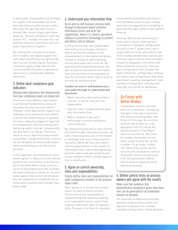is achievable, measurable and verifiable. For a goal to be achievable, we must describe what an audit scenario looks like when the goal has been accomplished. We cannot simply state these goals as: "Achieve compliance with regulation XYZ." Instead, we state the risk and then state the information security goals required to mitigate it.

By creating this merged set of goals , the IT leaders will ideally support the next steps and will also recognize how security can closely support business compliance goals, help with the efficiency and effectiveness of operations, and assist in creating well-defined objectives.

#### 3. Define ideal compliance goal indicators

Develop ideal indicators that demonstrate that your compliance goals are being met. There are many different approaches to achieving the desired outcomes of any given business process control. However, some approaches require considerably more audit work than others to verify their effectiveness. In general, the more subjective judgment required by management, the more testing and sampling audits must do. Consequently, the goal here is to design controls to allow as much objective measurement as possible. Change and access controls can be designed to ensure audit preparation and testing are as efficient as possible.

In this approach, the business process owner agrees in advance on the method by which the correctness of the file contents should be determined, such as a series of automated tests that compare the authorized set of values for the attributes against the current set of values. Any discrepancies or exceptions let us know when unauthorized changes have been made.

### 4. Understand your information flow

Do an end-to-end business process walkthrough to document where sensitive information enters and exits the organization, where it is stored, and where reliance is placed on technology to prevent and detect control failures.

In the previous step, we created ideal information security goal indicators, where we favored reliance on the measurement of information attributes instead of relying on administrative activity and supervisory controls. By specifying the required attributes, we gain an end-to-end view of information flow and can enforce accountability to specific outcomes rather than to a set of procedures and processes.

#### Conduct an end-to-end business process walk-through to understand and document:

- » Where sensitive information enters, transits, is stored, and exits the organization
- » Specific risks to organizational goals and information flow
- » Where reliance is placed on technology to prevent and detect control failures

By constructing the end-to-end information flow through a business process, we often reveal business use of information on desktops and cloud computing environments. When we view information control requirements in the context of information flow, merely distinguishing between authorized and unauthorized access requests within a single application is insufficient.

#### 5. Agree on control ownership, roles and responsibilities

Clearly define roles and responsibilities for audit compliance activities at the processowner level.

Next, agree on or assign the process owner for each of these controls. These owners are responsible for implementing and regularly auditing, in an automated manner, each of the controls within their area of responsibility. The goal is for them to regularly review these automated audit reports and remediate issues as part of daily operations as opposed to scrambling to generate the reports before the auditors show up.

Once we identify each business process control owner, these owners must define a standard configuration for each of the IT assets he or she is responsible for in the information flow. This includes detailed descriptions and technical specifications of the software needed to safeguard information and detect potential intrusions. The standard configuration also includes file object attributes, configuration settings, encryption key configurations and other parameters used by management. Each standard configuration must be automatically monitored for deviations.

## Go Faster with Better Brakes

Compliance controls are often seen as a hindrance—something that gets in the way of business and slows everything down. But think of it this way: As a control, what are the brakes on a car designed to do? Of course the default answer is that they're there to stop the car. But more accurately, the brakes are not there simply to stop the car but to allow it to go *faster*—safely. The same thing can be said of security and compliance controls: They aren't there to prevent you from doing business. Rather, they're there to allow you to do business securely.

#### 6. Define control tests so process owners will agree with the results

Make sure that evidence that demonstrates compliance goals have been met can be generated in an automated manner on demand.

It's important to determine and take deviation measurements when configurations deviate from a known standard configuration. These deviation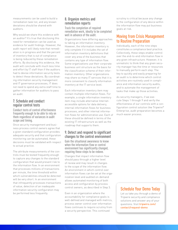measurements can be used to build a remediation task list, and any known deviations should be shared with auditors.

Why would we share this evidence with an auditor? It's true that disclosing this need for remediation can be used as evidence for audit findings. However, the audit report will likely note that remediation is in progress and that the percent of inventory that is out of compliance is being reduced by these remediation efforts. By disclosing this evidence, the audit will conclude with much less time and effort by IT staff than if the auditors had to devise information security tests to detect these deviations. By coordinating information security management and IT governance processes, IT does not need to spend any extra staff time to gather information for auditors to pass an audit.

#### 7. Schedule and conduct regular control tests

Conduct tests of control effectiveness frequently enough to be able to rely on them regardless of variances in audit scope and timing.

Once security management and business process control owners agree that a given standard configuration provides adequate security and that configuration monitoring can be automated, these decisions must be validated with respect to actual practice.

The attribute measurements of the controls must be tested frequently enough to capture any changes to the standard configuration that would present risk to the information flow. In an environment that processes millions of transactions per minute, the time threshold within which vulnerabilities should be detected will be very short. In an environment that infrequently processes transactions of value, detection of an inadequate information security configuration may be performed less frequently.

## 8. Organize metrics and remediation reports

Track the completion of required remediation work, ideally to be completed well in advance of the audit.

Organizations have differing approaches to taking an information inventory. However, the information inventory is only complete if it includes the set of information inventory definitions that cover any area of the business that contains any type of information flow. Some organizations use their corporate business unit structure as the basis for the classification scheme of their information inventory. Other organizations may share so many IT services that it is more convenient to classify information inventory at the IT service level.

Each information inventory item may contain multiple information flows. For example, a single information inventory item may include alternative Internetaccessible options for data delivery, internal information flows for business processes, and other internal information flows for administrative use. Each of these should be defined in terms of the existing IT infrastructure as well as the roadmap that supports them.

#### 9. Detect and respond to significant changes to the control environment

Gain the situational awareness to know when the information flow or control environment has significantly changed, requiring these steps to be redone.

Changes that impact information flow should pass through a higher level of review and may result in changes to the scope of the information flow. An environment in which control over information flows can be set at the organization level and audited on-demand allows automated monitoring of both access and configuration by process control owners, as described in Step 3.

Even in an organization where the accountability for compliance goals is well-defined and managed with metrics, process owner control over information flows continues to require scrutiny from a security perspective. This continued

scrutiny is critical because any change to the configuration of any device within the information flow may put business goals at risk.

## Moving from Crisis Management to Routine Preparation

Individually, each of the nine steps constitutes a compliance best practice. Collectively, these steps enable control over the end-to-end information flow in any given infrastructure. However, it is unrealistic to think that any given security manager has the time or resources to manually perform each step. The key to quickly and easily preparing for an audit is to determine which control activities are routinely used in compliance and information security audits, and to automate the management of tasks that make up those activities.

As security managers, if we execute Steps 1 through 9 and verify the effectiveness of our controls with a configuration control solution like Tripwire® Enterprise, audit preparation becomes a much easier process.

## Schedule Your Demo Today

Let us take you through a demo of Tripwire security and compliance solutions and answer any of your questions. Visit [tripwire.com/](https://www.tripwire.com/contact/request-demo/?referredby=pdf/) [contact/request-demo](https://www.tripwire.com/contact/request-demo/?referredby=pdf/)